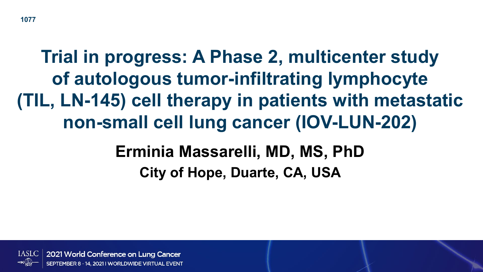#### **1077**

# **Trial in progress: A Phase 2, multicenter study of autologous tumor-infiltrating lymphocyte (TIL, LN-145) cell therapy in patients with metastatic non-small cell lung cancer (IOV-LUN-202)**

### **Erminia Massarelli, MD, MS, PhD City of Hope, Duarte, CA, USA**

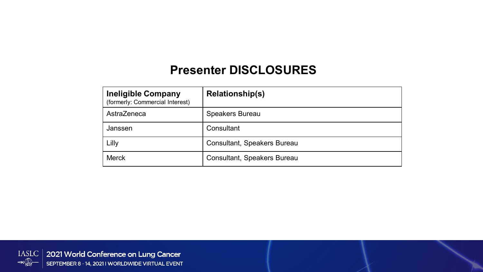### **Presenter DISCLOSURES**

| <b>Ineligible Company</b><br>(formerly: Commercial Interest) | <b>Relationship(s)</b>             |
|--------------------------------------------------------------|------------------------------------|
| AstraZeneca                                                  | <b>Speakers Bureau</b>             |
| Janssen                                                      | Consultant                         |
| Lilly                                                        | <b>Consultant, Speakers Bureau</b> |
| <b>Merck</b>                                                 | <b>Consultant, Speakers Bureau</b> |

IASLC | 2021 World Conference on Lung Cancer  $\leftarrow$ SEPTEMBER 8 - 14, 2021 I WORLDWIDE VIRTUAL EVENT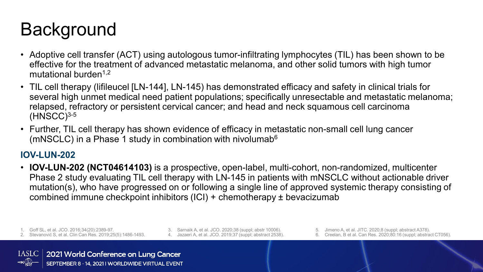### **Background**

- Adoptive cell transfer (ACT) using autologous tumor-infiltrating lymphocytes (TIL) has been shown to be effective for the treatment of advanced metastatic melanoma, and other solid tumors with high tumor mutational burden<sup>1,2</sup>
- TIL cell therapy (lifileucel [LN-144], LN-145) has demonstrated efficacy and safety in clinical trials for several high unmet medical need patient populations; specifically unresectable and metastatic melanoma; relapsed, refractory or persistent cervical cancer; and head and neck squamous cell carcinoma  $(HNSCC)^{3-5}$
- Further, TIL cell therapy has shown evidence of efficacy in metastatic non-small cell lung cancer (mNSCLC) in a Phase 1 study in combination with nivolumab $6$

#### **IOV-LUN-202**

• **IOV-LUN-202 (NCT04614103)** is a prospective, open-label, multi-cohort, non-randomized, multicenter Phase 2 study evaluating TIL cell therapy with LN-145 in patients with mNSCLC without actionable driver mutation(s), who have progressed on or following a single line of approved systemic therapy consisting of combined immune checkpoint inhibitors (ICI) + chemotherapy ± bevacizumab

1. Goff SL, et al. JCO. 2016;34(20):2389-97.

- 2. Stevanović S, et al. Clin Can Res. 2019;25(5):1486-1493.
- 3. Sarnaik A, et al. JCO. 2020;38 (suppl; abstr 10006). 4. Jazaeri A, et al. JCO. 2019;37 (suppl; abstract 2538).
- 5. Jimeno A, et al. JITC. 2020;8 (suppl; abstract A378).
- 6. Creelan, B et al. Can Res. 2020;80:16 (suppl; abstract CT056).

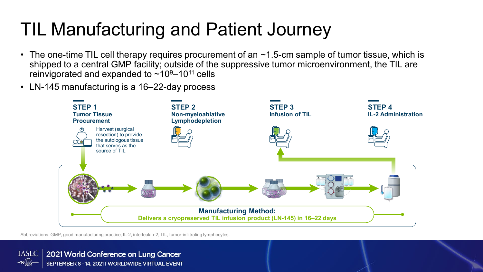### TIL Manufacturing and Patient Journey

- The one-time TIL cell therapy requires procurement of an  $\sim$ 1.5-cm sample of tumor tissue, which is shipped to a central GMP facility; outside of the suppressive tumor microenvironment, the TIL are reinvigorated and expanded to  $\sim 10^9 - 10^{11}$  cells
- LN-145 manufacturing is a 16–22-day process



Abbreviations: GMP, good manufacturing practice; IL-2, interleukin-2; TIL, tumor-infiltrating lymphocytes.

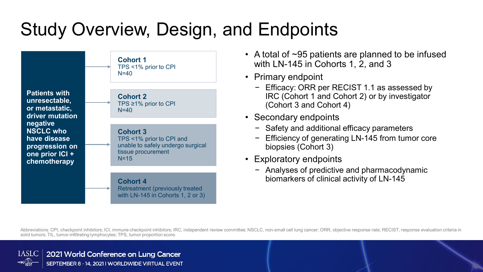# Study Overview, Design, and Endpoints



- A total of ~95 patients are planned to be infused with LN-145 in Cohorts 1, 2, and 3
- Primary endpoint
	- − Efficacy: ORR per RECIST 1.1 as assessed by IRC (Cohort 1 and Cohort 2) or by investigator (Cohort 3 and Cohort 4)
- Secondary endpoints
	- − Safety and additional efficacy parameters
	- Efficiency of generating LN-145 from tumor core biopsies (Cohort 3)
- Exploratory endpoints
	- − Analyses of predictive and pharmacodynamic biomarkers of clinical activity of LN-145

Abbreviations: CPI, checkpoint inhibitors; ICI, immune checkpoint inhibitors; IRC, independent review committee; NSCLC, non-small cell lung cancer; ORR, objective response rate; RECIST, response evaluation criteria in solid tumors; TIL, tumor-infiltrating lymphocytes; TPS, tumor proportion score.

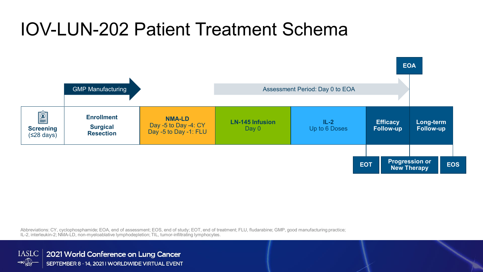### IOV-LUN-202 Patient Treatment Schema



Abbreviations: CY, cyclophosphamide; EOA, end of assessment; EOS, end of study; EOT, end of treatment; FLU, fludarabine; GMP, good manufacturing practice; IL-2, interleukin-2; NMA-LD, non-myeloablative lymphodepletion; TIL, tumor-infiltrating lymphocytes.